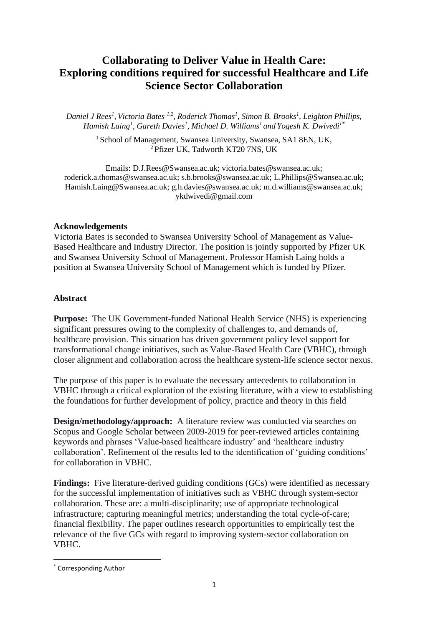## **Collaborating to Deliver Value in Health Care: Exploring conditions required for successful Healthcare and Life Science Sector Collaboration**

*Daniel J Rees<sup>1</sup> , Victoria Bates 1,2, Roderick Thomas<sup>1</sup> , Simon B. Brooks<sup>1</sup> , Leighton Phillips, Hamish Laing<sup>1</sup> , Gareth Davies<sup>1</sup> , Michael D. Williams<sup>1</sup> and Yogesh K. Dwivedi1\**

> <sup>1</sup> School of Management, Swansea University, Swansea, SA1 8EN, UK, <sup>2</sup>Pfizer UK, Tadworth KT20 7NS, UK

Emails: D.J.Rees@Swansea.ac.uk; [victoria.bates@swansea.ac.uk;](mailto:victoria.bates@swansea.ac.uk) roderick.a.thomas@swansea.ac.uk; s.b.brooks@swansea.ac.uk; [L.Phillips@Swansea.ac.uk;](mailto:L.Phillips@Swansea.ac.uk) Hamish.Laing@Swansea.ac.uk; g.h.davies@swansea.ac.uk; m.d.williams@swansea.ac.uk; ykdwivedi@gmail.com

#### **Acknowledgements**

Victoria Bates is seconded to Swansea University School of Management as Value-Based Healthcare and Industry Director. The position is jointly supported by Pfizer UK and Swansea University School of Management. Professor Hamish Laing holds a position at Swansea University School of Management which is funded by Pfizer.

#### **Abstract**

**Purpose:** The UK Government-funded National Health Service (NHS) is experiencing significant pressures owing to the complexity of challenges to, and demands of, healthcare provision. This situation has driven government policy level support for transformational change initiatives, such as Value-Based Health Care (VBHC), through closer alignment and collaboration across the healthcare system-life science sector nexus.

The purpose of this paper is to evaluate the necessary antecedents to collaboration in VBHC through a critical exploration of the existing literature, with a view to establishing the foundations for further development of policy, practice and theory in this field

**Design/methodology/approach:** A literature review was conducted via searches on Scopus and Google Scholar between 2009-2019 for peer-reviewed articles containing keywords and phrases 'Value-based healthcare industry' and 'healthcare industry collaboration'. Refinement of the results led to the identification of 'guiding conditions' for collaboration in VBHC.

**Findings:** Five literature-derived guiding conditions (GCs) were identified as necessary for the successful implementation of initiatives such as VBHC through system-sector collaboration. These are: a multi-disciplinarity; use of appropriate technological infrastructure; capturing meaningful metrics; understanding the total cycle-of-care; financial flexibility. The paper outlines research opportunities to empirically test the relevance of the five GCs with regard to improving system-sector collaboration on VBHC.

<sup>\*</sup> Corresponding Author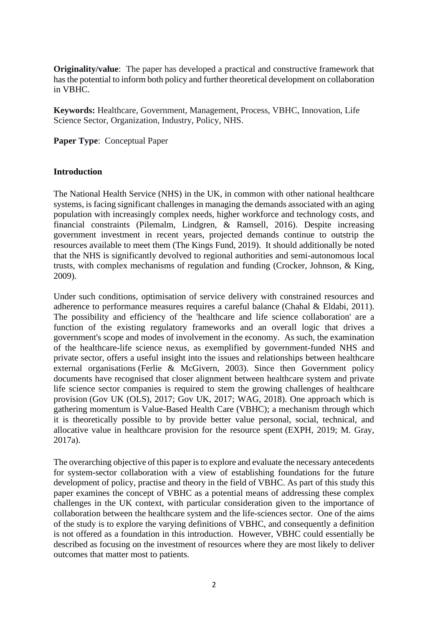**Originality/value**: The paper has developed a practical and constructive framework that has the potential to inform both policy and further theoretical development on collaboration in VBHC.

**Keywords:** Healthcare, Government, Management, Process, VBHC, Innovation, Life Science Sector, Organization, Industry, Policy, NHS.

**Paper Type**: Conceptual Paper

## **Introduction**

The National Health Service (NHS) in the UK, in common with other national healthcare systems, is facing significant challenges in managing the demands associated with an aging population with increasingly complex needs, higher workforce and technology costs, and financial constraints (Pilemalm, Lindgren, & Ramsell, 2016). Despite increasing government investment in recent years, projected demands continue to outstrip the resources available to meet them (The Kings Fund, 2019). It should additionally be noted that the NHS is significantly devolved to regional authorities and semi-autonomous local trusts, with complex mechanisms of regulation and funding (Crocker, Johnson, & King, 2009).

Under such conditions, optimisation of service delivery with constrained resources and adherence to performance measures requires a careful balance (Chahal & Eldabi, 2011). The possibility and efficiency of the 'healthcare and life science collaboration' are a function of the existing regulatory frameworks and an overall logic that drives a government's scope and modes of involvement in the economy. As such, the examination of the healthcare-life science nexus, as exemplified by government-funded NHS and private sector, offers a useful insight into the issues and relationships between healthcare external organisations (Ferlie & McGivern, 2003). Since then Government policy documents have recognised that closer alignment between healthcare system and private life science sector companies is required to stem the growing challenges of healthcare provision (Gov UK (OLS), 2017; Gov UK, 2017; WAG, 2018). One approach which is gathering momentum is Value-Based Health Care (VBHC); a mechanism through which it is theoretically possible to by provide better value personal, social, technical, and allocative value in healthcare provision for the resource spent (EXPH, 2019; M. Gray, 2017a).

The overarching objective of this paper is to explore and evaluate the necessary antecedents for system-sector collaboration with a view of establishing foundations for the future development of policy, practise and theory in the field of VBHC. As part of this study this paper examines the concept of VBHC as a potential means of addressing these complex challenges in the UK context, with particular consideration given to the importance of collaboration between the healthcare system and the life-sciences sector. One of the aims of the study is to explore the varying definitions of VBHC, and consequently a definition is not offered as a foundation in this introduction. However, VBHC could essentially be described as focusing on the investment of resources where they are most likely to deliver outcomes that matter most to patients.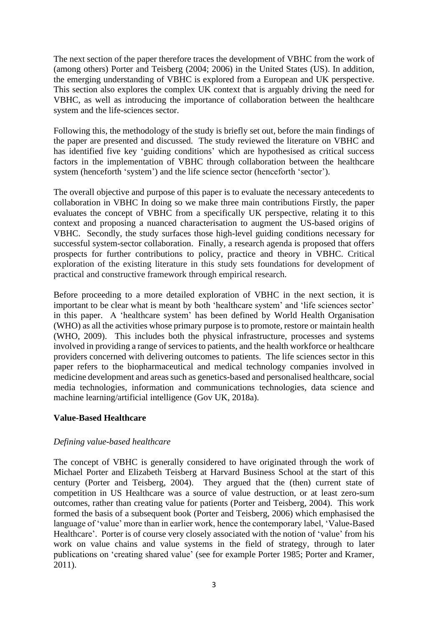The next section of the paper therefore traces the development of VBHC from the work of (among others) Porter and Teisberg (2004; 2006) in the United States (US). In addition, the emerging understanding of VBHC is explored from a European and UK perspective. This section also explores the complex UK context that is arguably driving the need for VBHC, as well as introducing the importance of collaboration between the healthcare system and the life-sciences sector.

Following this, the methodology of the study is briefly set out, before the main findings of the paper are presented and discussed. The study reviewed the literature on VBHC and has identified five key 'guiding conditions' which are hypothesised as critical success factors in the implementation of VBHC through collaboration between the healthcare system (henceforth 'system') and the life science sector (henceforth 'sector').

The overall objective and purpose of this paper is to evaluate the necessary antecedents to collaboration in VBHC In doing so we make three main contributions Firstly, the paper evaluates the concept of VBHC from a specifically UK perspective, relating it to this context and proposing a nuanced characterisation to augment the US-based origins of VBHC. Secondly, the study surfaces those high-level guiding conditions necessary for successful system-sector collaboration. Finally, a research agenda is proposed that offers prospects for further contributions to policy, practice and theory in VBHC. Critical exploration of the existing literature in this study sets foundations for development of practical and constructive framework through empirical research.

Before proceeding to a more detailed exploration of VBHC in the next section, it is important to be clear what is meant by both 'healthcare system' and 'life sciences sector' in this paper. A 'healthcare system' has been defined by World Health Organisation (WHO) as all the activities whose primary purpose is to promote, restore or maintain health (WHO, 2009). This includes both the physical infrastructure, processes and systems involved in providing a range of services to patients, and the health workforce or healthcare providers concerned with delivering outcomes to patients. The life sciences sector in this paper refers to the biopharmaceutical and medical technology companies involved in medicine development and areas such as genetics-based and personalised healthcare, social media technologies, information and communications technologies, data science and machine learning/artificial intelligence (Gov UK, 2018a).

## **Value-Based Healthcare**

#### *Defining value-based healthcare*

The concept of VBHC is generally considered to have originated through the work of Michael Porter and Elizabeth Teisberg at Harvard Business School at the start of this century (Porter and Teisberg, 2004). They argued that the (then) current state of competition in US Healthcare was a source of value destruction, or at least zero-sum outcomes, rather than creating value for patients (Porter and Teisberg, 2004). This work formed the basis of a subsequent book (Porter and Teisberg, 2006) which emphasised the language of 'value' more than in earlier work, hence the contemporary label, 'Value-Based Healthcare'. Porter is of course very closely associated with the notion of 'value' from his work on value chains and value systems in the field of strategy, through to later publications on 'creating shared value' (see for example Porter 1985; Porter and Kramer, 2011).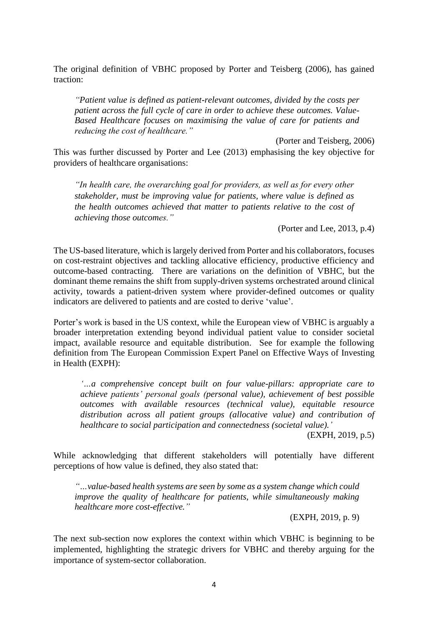The original definition of VBHC proposed by Porter and Teisberg (2006), has gained traction:

*"Patient value is defined as patient-relevant outcomes, divided by the costs per patient across the full cycle of care in order to achieve these outcomes. Value-Based Healthcare focuses on maximising the value of care for patients and reducing the cost of healthcare."*

(Porter and Teisberg, 2006) This was further discussed by Porter and Lee (2013) emphasising the key objective for providers of healthcare organisations:

*"In health care, the overarching goal for providers, as well as for every other stakeholder, must be improving value for patients, where value is defined as the health outcomes achieved that matter to patients relative to the cost of achieving those outcomes."* 

(Porter and Lee, 2013, p.4)

The US-based literature, which is largely derived from Porter and his collaborators, focuses on cost-restraint objectives and tackling allocative efficiency, productive efficiency and outcome-based contracting. There are variations on the definition of VBHC, but the dominant theme remains the shift from supply-driven systems orchestrated around clinical activity, towards a patient-driven system where provider-defined outcomes or quality indicators are delivered to patients and are costed to derive 'value'.

Porter's work is based in the US context, while the European view of VBHC is arguably a broader interpretation extending beyond individual patient value to consider societal impact, available resource and equitable distribution. See for example the following definition from The European Commission Expert Panel on Effective Ways of Investing in Health (EXPH):

*'…a comprehensive concept built on four value-pillars: appropriate care to achieve patients' personal goals (personal value), achievement of best possible outcomes with available resources (technical value), equitable resource distribution across all patient groups (allocative value) and contribution of healthcare to social participation and connectedness (societal value).'*

(EXPH, 2019, p.5)

While acknowledging that different stakeholders will potentially have different perceptions of how value is defined, they also stated that:

*"…value-based health systems are seen by some as a system change which could improve the quality of healthcare for patients, while simultaneously making healthcare more cost-effective."*

(EXPH, 2019, p. 9)

The next sub-section now explores the context within which VBHC is beginning to be implemented, highlighting the strategic drivers for VBHC and thereby arguing for the importance of system-sector collaboration.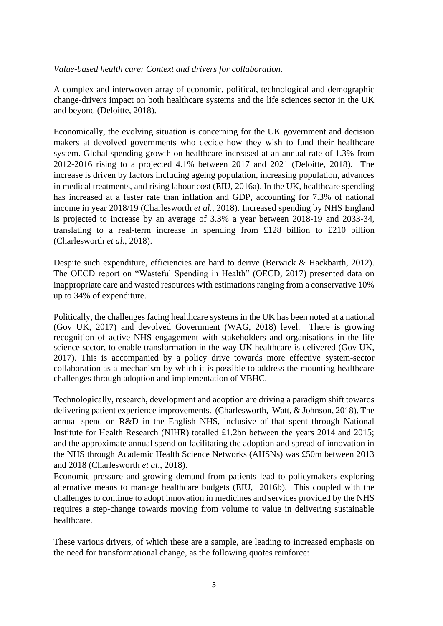## *Value-based health care: Context and drivers for collaboration.*

A complex and interwoven array of economic, political, technological and demographic change-drivers impact on both healthcare systems and the life sciences sector in the UK and beyond (Deloitte, 2018).

Economically, the evolving situation is concerning for the UK government and decision makers at devolved governments who decide how they wish to fund their healthcare system. Global spending growth on healthcare increased at an annual rate of 1.3% from 2012-2016 rising to a projected 4.1% between 2017 and 2021 (Deloitte, 2018). The increase is driven by factors including ageing population, increasing population, advances in medical treatments, and rising labour cost (EIU, 2016a). In the UK, healthcare spending has increased at a faster rate than inflation and GDP, accounting for 7.3% of national income in year 2018/19 (Charlesworth *et al.*, 2018). Increased spending by NHS England is projected to increase by an average of 3.3% a year between 2018-19 and 2033-34, translating to a real-term increase in spending from £128 billion to £210 billion (Charlesworth *et al.*, 2018).

Despite such expenditure, efficiencies are hard to derive (Berwick & Hackbarth, 2012). The OECD report on "Wasteful Spending in Health" (OECD, 2017) presented data on inappropriate care and wasted resources with estimations ranging from a conservative 10% up to 34% of expenditure.

Politically, the challenges facing healthcare systems in the UK has been noted at a national (Gov UK, 2017) and devolved Government (WAG, 2018) level. There is growing recognition of active NHS engagement with stakeholders and organisations in the life science sector, to enable transformation in the way UK healthcare is delivered (Gov UK, 2017). This is accompanied by a policy drive towards more effective system-sector collaboration as a mechanism by which it is possible to address the mounting healthcare challenges through adoption and implementation of VBHC.

Technologically, research, development and adoption are driving a paradigm shift towards delivering patient experience improvements. (Charlesworth, Watt, & Johnson, 2018). The annual spend on R&D in the English NHS, inclusive of that spent through National Institute for Health Research (NIHR) totalled £1.2bn between the years 2014 and 2015; and the approximate annual spend on facilitating the adoption and spread of innovation in the NHS through Academic Health Science Networks (AHSNs) was £50m between 2013 and 2018 (Charlesworth *et al*., 2018).

Economic pressure and growing demand from patients lead to policymakers exploring alternative means to manage healthcare budgets (EIU, 2016b). This coupled with the challenges to continue to adopt innovation in medicines and services provided by the NHS requires a step-change towards moving from volume to value in delivering sustainable healthcare.

These various drivers, of which these are a sample, are leading to increased emphasis on the need for transformational change, as the following quotes reinforce: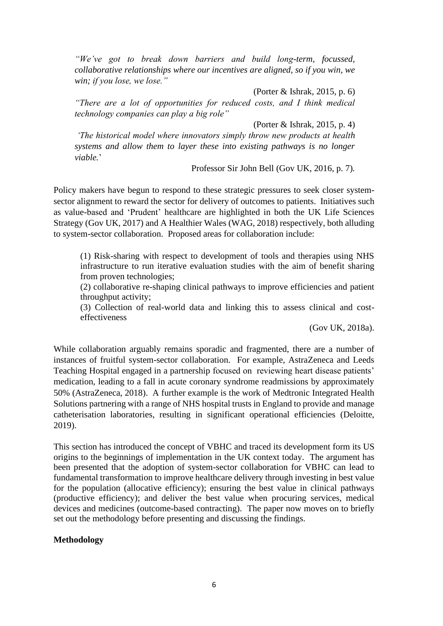*"We've got to break down barriers and build long-term, focussed, collaborative relationships where our incentives are aligned, so if you win, we win; if you lose, we lose."*

(Porter & Ishrak, 2015, p. 6)

*"There are a lot of opportunities for reduced costs, and I think medical technology companies can play a big role"*

(Porter & Ishrak, 2015, p. 4)

*'The historical model where innovators simply throw new products at health systems and allow them to layer these into existing pathways is no longer viable.*'

Professor Sir John Bell (Gov UK, 2016, p. 7)*.*

Policy makers have begun to respond to these strategic pressures to seek closer systemsector alignment to reward the sector for delivery of outcomes to patients. Initiatives such as value-based and 'Prudent' healthcare are highlighted in both the UK Life Sciences Strategy (Gov UK, 2017) and A Healthier Wales (WAG, 2018) respectively, both alluding to system-sector collaboration. Proposed areas for collaboration include:

(1) Risk-sharing with respect to development of tools and therapies using NHS infrastructure to run iterative evaluation studies with the aim of benefit sharing from proven technologies;

(2) collaborative re-shaping clinical pathways to improve efficiencies and patient throughput activity;

(3) Collection of real-world data and linking this to assess clinical and costeffectiveness

(Gov UK, 2018a).

While collaboration arguably remains sporadic and fragmented, there are a number of instances of fruitful system-sector collaboration. For example, AstraZeneca and Leeds Teaching Hospital engaged in a partnership focused on reviewing heart disease patients' medication, leading to a fall in acute coronary syndrome readmissions by approximately 50% (AstraZeneca, 2018). A further example is the work of Medtronic Integrated Health Solutions partnering with a range of NHS hospital trusts in England to provide and manage catheterisation laboratories, resulting in significant operational efficiencies (Deloitte, 2019).

This section has introduced the concept of VBHC and traced its development form its US origins to the beginnings of implementation in the UK context today. The argument has been presented that the adoption of system-sector collaboration for VBHC can lead to fundamental transformation to improve healthcare delivery through investing in best value for the population (allocative efficiency); ensuring the best value in clinical pathways (productive efficiency); and deliver the best value when procuring services, medical devices and medicines (outcome-based contracting). The paper now moves on to briefly set out the methodology before presenting and discussing the findings.

## **Methodology**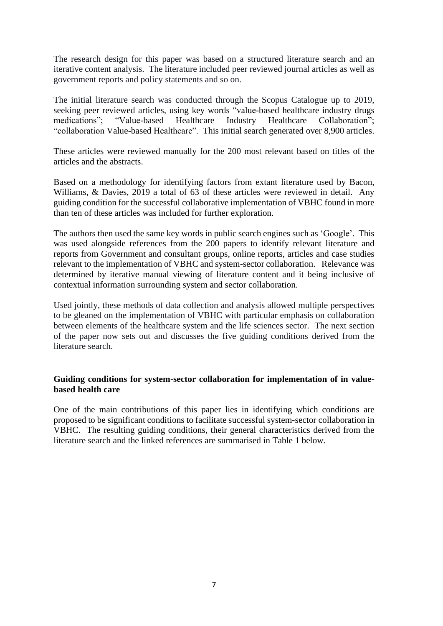The research design for this paper was based on a structured literature search and an iterative content analysis. The literature included peer reviewed journal articles as well as government reports and policy statements and so on.

The initial literature search was conducted through the Scopus Catalogue up to 2019, seeking peer reviewed articles, using key words "value-based healthcare industry drugs medications"; "Value-based Healthcare Industry Healthcare Collaboration"; "collaboration Value-based Healthcare". This initial search generated over 8,900 articles.

These articles were reviewed manually for the 200 most relevant based on titles of the articles and the abstracts.

Based on a methodology for identifying factors from extant literature used by Bacon, Williams, & Davies, 2019 a total of 63 of these articles were reviewed in detail. Any guiding condition for the successful collaborative implementation of VBHC found in more than ten of these articles was included for further exploration.

The authors then used the same key words in public search engines such as 'Google'. This was used alongside references from the 200 papers to identify relevant literature and reports from Government and consultant groups, online reports, articles and case studies relevant to the implementation of VBHC and system-sector collaboration. Relevance was determined by iterative manual viewing of literature content and it being inclusive of contextual information surrounding system and sector collaboration.

Used jointly, these methods of data collection and analysis allowed multiple perspectives to be gleaned on the implementation of VBHC with particular emphasis on collaboration between elements of the healthcare system and the life sciences sector. The next section of the paper now sets out and discusses the five guiding conditions derived from the literature search.

## **Guiding conditions for system-sector collaboration for implementation of in valuebased health care**

One of the main contributions of this paper lies in identifying which conditions are proposed to be significant conditions to facilitate successful system-sector collaboration in VBHC. The resulting guiding conditions, their general characteristics derived from the literature search and the linked references are summarised in Table 1 below.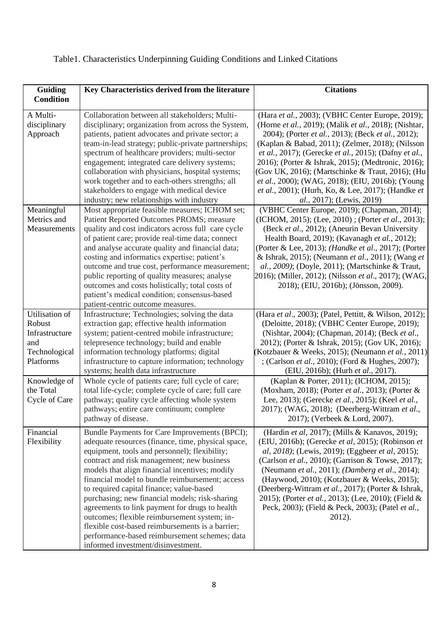| Guiding<br><b>Condition</b>                                                                                                   | Key Characteristics derived from the literature                                                                                                                                                                                                                                                                                                                                                                                                                                                                                                                                                                                                    | <b>Citations</b>                                                                                                                                                                                                                                                                                                                                                                                                                                                                                                                                                                                    |
|-------------------------------------------------------------------------------------------------------------------------------|----------------------------------------------------------------------------------------------------------------------------------------------------------------------------------------------------------------------------------------------------------------------------------------------------------------------------------------------------------------------------------------------------------------------------------------------------------------------------------------------------------------------------------------------------------------------------------------------------------------------------------------------------|-----------------------------------------------------------------------------------------------------------------------------------------------------------------------------------------------------------------------------------------------------------------------------------------------------------------------------------------------------------------------------------------------------------------------------------------------------------------------------------------------------------------------------------------------------------------------------------------------------|
| A Multi-<br>disciplinary<br>Approach                                                                                          | Collaboration between all stakeholders; Multi-<br>disciplinary; organization from across the System,<br>patients, patient advocates and private sector; a<br>team-in-lead strategy; public-private partnerships;<br>spectrum of healthcare providers; multi-sector<br>engagement; integrated care delivery systems;<br>collaboration with physicians, hospital systems;<br>work together and to each-others strengths; all<br>stakeholders to engage with medical device<br>industry; new relationships with industry                                                                                                                              | (Hara et al., 2003); (VBHC Center Europe, 2019);<br>(Horne et al., 2019); (Malik et al., 2018); (Nishtar,<br>2004); (Porter et al., 2013); (Beck et al., 2012);<br>(Kaplan & Babad, 2011); (Zelmer, 2018); (Nilsson<br>et al., 2017); (Gerecke et al., 2015); (Dafny et al.,<br>2016); (Porter & Ishrak, 2015); (Medtronic, 2016);<br>(Gov UK, 2016); (Martschinke & Traut, 2016); (Hu<br>et al., 2000); (WAG, 2018); (EIU, 2016b); (Young<br>et al., 2001); (Hurh, Ko, & Lee, 2017); (Handke et<br>al., 2017); (Lewis, 2019)                                                                       |
| Meaningful<br>Metrics and<br>Measurements                                                                                     | Most appropriate feasible measures; ICHOM set;<br>Patient Reported Outcomes PROMS; measure<br>quality and cost indicators across full care cycle<br>of patient care; provide real-time data; connect<br>and analyse accurate quality and financial data;<br>costing and informatics expertise; patient's<br>outcome and true cost, performance measurement;<br>public reporting of quality measures; analyse<br>outcomes and costs holistically; total costs of<br>patient's medical condition; consensus-based<br>patient-centric outcome measures.                                                                                               | (VBHC Center Europe, 2019); (Chapman, 2014);<br>(ICHOM, 2015); (Lee, 2010); (Porter et al., 2013);<br>(Beck et al., 2012); (Aneurin Bevan University<br>Health Board, 2019); (Kavanagh et al., 2012);<br>(Porter & Lee, 2013); (Handke et al., 2017); (Porter<br>& Ishrak, 2015); (Neumann et al., 2011); (Wang et<br>al., 2009); (Doyle, 2011); (Martschinke & Traut,<br>2016); (Miller, 2012); (Nilsson et al., 2017); (WAG,<br>2018); (EIU, 2016b); (Jönsson, 2009).                                                                                                                             |
| Utilisation of<br>Robust<br>Infrastructure<br>and<br>Technological<br>Platforms<br>Knowledge of<br>the Total<br>Cycle of Care | Infrastructure; Technologies; solving the data<br>extraction gap; effective health information<br>system; patient-centred mobile infrastructure;<br>telepresence technology; build and enable<br>information technology platforms; digital<br>infrastructure to capture information; technology<br>systems; health data infrastructure<br>Whole cycle of patients care; full cycle of care;<br>total life-cycle; complete cycle of care; full care<br>pathway; quality cycle affecting whole system<br>pathways; entire care continuum; complete<br>pathway of disease.                                                                            | (Hara et al., 2003); (Patel, Pettitt, & Wilson, 2012);<br>(Deloitte, 2018); (VBHC Center Europe, 2019);<br>(Nishtar, 2004); (Chapman, 2014); (Beck et al.,<br>2012); (Porter & Ishrak, 2015); (Gov UK, 2016);<br>(Kotzbauer & Weeks, 2015); (Neumann et al., 2011)<br>; (Carlson et al., 2010); (Ford & Hughes, 2007);<br>(EIU, 2016b); (Hurh et al., 2017).<br>(Kaplan & Porter, 2011); (ICHOM, 2015);<br>(Moxham, 2018); (Porter et al., 2013); (Porter &<br>Lee, 2013); (Gerecke et al., 2015); (Keel et al.,<br>2017); (WAG, 2018); (Deerberg-Wittram et al.,<br>2017); (Verbeek & Lord, 2007). |
| Financial<br>Flexibility                                                                                                      | Bundle Payments for Care Improvements (BPCI);<br>adequate resources (finance, time, physical space,<br>equipment, tools and personnel); flexibility;<br>contract and risk management; new business<br>models that align financial incentives; modify<br>financial model to bundle reimbursement; access<br>to required capital finance; value-based<br>purchasing; new financial models; risk-sharing<br>agreements to link payment for drugs to health<br>outcomes; flexible reimbursement system; in-<br>flexible cost-based reimbursements is a barrier;<br>performance-based reimbursement schemes; data<br>informed investment/disinvestment. | (Hardin et al, 2017); (Mills & Kanavos, 2019);<br>(EIU, 2016b); (Gerecke et al, 2015); (Robinson et<br>al, 2018); (Lewis, 2019); (Eggbeer et al, 2015);<br>(Carlson et al., 2010); (Garrison & Towse, 2017);<br>(Neumann et al., 2011); (Damberg et al., 2014);<br>(Haywood, 2010); (Kotzbauer & Weeks, 2015);<br>(Deerberg-Wittram et al., 2017); (Porter & Ishrak,<br>2015); (Porter <i>et al.</i> , 2013); (Lee, 2010); (Field &<br>Peck, 2003); (Field & Peck, 2003); (Patel et al.,<br>2012).                                                                                                  |

# Table1. Characteristics Underpinning Guiding Conditions and Linked Citations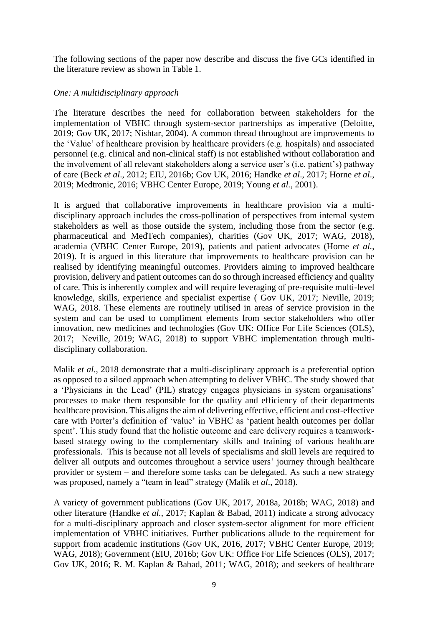The following sections of the paper now describe and discuss the five GCs identified in the literature review as shown in Table 1.

## *One: A multidisciplinary approach*

The literature describes the need for collaboration between stakeholders for the implementation of VBHC through system-sector partnerships as imperative (Deloitte, 2019; Gov UK, 2017; Nishtar, 2004). A common thread throughout are improvements to the 'Value' of healthcare provision by healthcare providers (e.g. hospitals) and associated personnel (e.g. clinical and non-clinical staff) is not established without collaboration and the involvement of all relevant stakeholders along a service user's (i.e. patient's) pathway of care (Beck *et al*., 2012; EIU, 2016b; Gov UK, 2016; Handke *et al*., 2017; Horne *et al*., 2019; Medtronic, 2016; VBHC Center Europe, 2019; Young *et al.*, 2001).

It is argued that collaborative improvements in healthcare provision via a multidisciplinary approach includes the cross-pollination of perspectives from internal system stakeholders as well as those outside the system, including those from the sector (e.g. pharmaceutical and MedTech companies), charities (Gov UK, 2017; WAG, 2018), academia (VBHC Center Europe, 2019), patients and patient advocates (Horne *et al.*, 2019). It is argued in this literature that improvements to healthcare provision can be realised by identifying meaningful outcomes. Providers aiming to improved healthcare provision, delivery and patient outcomes can do so through increased efficiency and quality of care. This is inherently complex and will require leveraging of pre-requisite multi-level knowledge, skills, experience and specialist expertise ( Gov UK, 2017; Neville, 2019; WAG, 2018. These elements are routinely utilised in areas of service provision in the system and can be used to compliment elements from sector stakeholders who offer innovation, new medicines and technologies (Gov UK: Office For Life Sciences (OLS), 2017; Neville, 2019; WAG, 2018) to support VBHC implementation through multidisciplinary collaboration.

Malik *et al.*, 2018 demonstrate that a multi-disciplinary approach is a preferential option as opposed to a siloed approach when attempting to deliver VBHC. The study showed that a 'Physicians in the Lead' (PIL) strategy engages physicians in system organisations' processes to make them responsible for the quality and efficiency of their departments healthcare provision. This aligns the aim of delivering effective, efficient and cost-effective care with Porter's definition of 'value' in VBHC as 'patient health outcomes per dollar spent'. This study found that the holistic outcome and care delivery requires a teamworkbased strategy owing to the complementary skills and training of various healthcare professionals. This is because not all levels of specialisms and skill levels are required to deliver all outputs and outcomes throughout a service users' journey through healthcare provider or system – and therefore some tasks can be delegated. As such a new strategy was proposed, namely a "team in lead" strategy (Malik *et al*., 2018).

A variety of government publications (Gov UK, 2017, 2018a, 2018b; WAG, 2018) and other literature (Handke *et al.*, 2017; Kaplan & Babad, 2011) indicate a strong advocacy for a multi-disciplinary approach and closer system-sector alignment for more efficient implementation of VBHC initiatives. Further publications allude to the requirement for support from academic institutions (Gov UK, 2016, 2017; VBHC Center Europe, 2019; WAG, 2018); Government (EIU, 2016b; Gov UK: Office For Life Sciences (OLS), 2017; Gov UK, 2016; R. M. Kaplan & Babad, 2011; WAG, 2018); and seekers of healthcare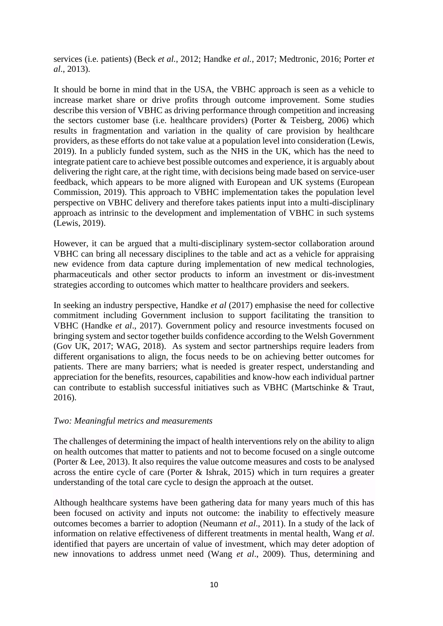services (i.e. patients) (Beck *et al.*, 2012; Handke *et al.*, 2017; Medtronic, 2016; Porter *et al*., 2013).

It should be borne in mind that in the USA, the VBHC approach is seen as a vehicle to increase market share or drive profits through outcome improvement. Some studies describe this version of VBHC as driving performance through competition and increasing the sectors customer base (i.e. healthcare providers) (Porter & Teisberg, 2006) which results in fragmentation and variation in the quality of care provision by healthcare providers, as these efforts do not take value at a population level into consideration (Lewis, 2019). In a publicly funded system, such as the NHS in the UK, which has the need to integrate patient care to achieve best possible outcomes and experience, it is arguably about delivering the right care, at the right time, with decisions being made based on service-user feedback, which appears to be more aligned with European and UK systems (European Commission, 2019). This approach to VBHC implementation takes the population level perspective on VBHC delivery and therefore takes patients input into a multi-disciplinary approach as intrinsic to the development and implementation of VBHC in such systems (Lewis, 2019).

However, it can be argued that a multi-disciplinary system-sector collaboration around VBHC can bring all necessary disciplines to the table and act as a vehicle for appraising new evidence from data capture during implementation of new medical technologies, pharmaceuticals and other sector products to inform an investment or dis-investment strategies according to outcomes which matter to healthcare providers and seekers.

In seeking an industry perspective, Handke *et al* (2017) emphasise the need for collective commitment including Government inclusion to support facilitating the transition to VBHC (Handke *et al*., 2017). Government policy and resource investments focused on bringing system and sector together builds confidence according to the Welsh Government (Gov UK, 2017; WAG, 2018). As system and sector partnerships require leaders from different organisations to align, the focus needs to be on achieving better outcomes for patients. There are many barriers; what is needed is greater respect, understanding and appreciation for the benefits, resources, capabilities and know-how each individual partner can contribute to establish successful initiatives such as VBHC (Martschinke & Traut, 2016).

#### *Two: Meaningful metrics and measurements*

The challenges of determining the impact of health interventions rely on the ability to align on health outcomes that matter to patients and not to become focused on a single outcome (Porter & Lee, 2013). It also requires the value outcome measures and costs to be analysed across the entire cycle of care (Porter & Ishrak, 2015) which in turn requires a greater understanding of the total care cycle to design the approach at the outset.

Although healthcare systems have been gathering data for many years much of this has been focused on activity and inputs not outcome: the inability to effectively measure outcomes becomes a barrier to adoption (Neumann *et al*., 2011). In a study of the lack of information on relative effectiveness of different treatments in mental health, Wang *et al*. identified that payers are uncertain of value of investment, which may deter adoption of new innovations to address unmet need (Wang *et al*., 2009). Thus, determining and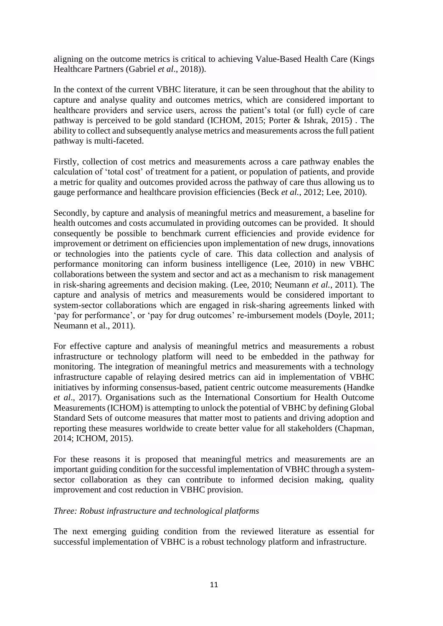aligning on the outcome metrics is critical to achieving Value-Based Health Care (Kings Healthcare Partners (Gabriel *et al*., 2018)).

In the context of the current VBHC literature, it can be seen throughout that the ability to capture and analyse quality and outcomes metrics, which are considered important to healthcare providers and service users, across the patient's total (or full) cycle of care pathway is perceived to be gold standard (ICHOM, 2015; Porter & Ishrak, 2015) . The ability to collect and subsequently analyse metrics and measurements across the full patient pathway is multi-faceted.

Firstly, collection of cost metrics and measurements across a care pathway enables the calculation of 'total cost' of treatment for a patient, or population of patients, and provide a metric for quality and outcomes provided across the pathway of care thus allowing us to gauge performance and healthcare provision efficiencies (Beck *et al.*, 2012; Lee, 2010).

Secondly, by capture and analysis of meaningful metrics and measurement, a baseline for health outcomes and costs accumulated in providing outcomes can be provided. It should consequently be possible to benchmark current efficiencies and provide evidence for improvement or detriment on efficiencies upon implementation of new drugs, innovations or technologies into the patients cycle of care. This data collection and analysis of performance monitoring can inform business intelligence (Lee, 2010) in new VBHC collaborations between the system and sector and act as a mechanism to risk management in risk-sharing agreements and decision making. (Lee, 2010; Neumann *et al.*, 2011). The capture and analysis of metrics and measurements would be considered important to system-sector collaborations which are engaged in risk-sharing agreements linked with 'pay for performance', or 'pay for drug outcomes' re-imbursement models (Doyle, 2011; Neumann et al., 2011).

For effective capture and analysis of meaningful metrics and measurements a robust infrastructure or technology platform will need to be embedded in the pathway for monitoring. The integration of meaningful metrics and measurements with a technology infrastructure capable of relaying desired metrics can aid in implementation of VBHC initiatives by informing consensus-based, patient centric outcome measurements (Handke *et al*., 2017). Organisations such as the International Consortium for Health Outcome Measurements (ICHOM) is attempting to unlock the potential of VBHC by defining Global Standard Sets of outcome measures that matter most to patients and driving adoption and reporting these measures worldwide to create better value for all stakeholders (Chapman, 2014; ICHOM, 2015).

For these reasons it is proposed that meaningful metrics and measurements are an important guiding condition for the successful implementation of VBHC through a systemsector collaboration as they can contribute to informed decision making, quality improvement and cost reduction in VBHC provision.

## *Three: Robust infrastructure and technological platforms*

The next emerging guiding condition from the reviewed literature as essential for successful implementation of VBHC is a robust technology platform and infrastructure.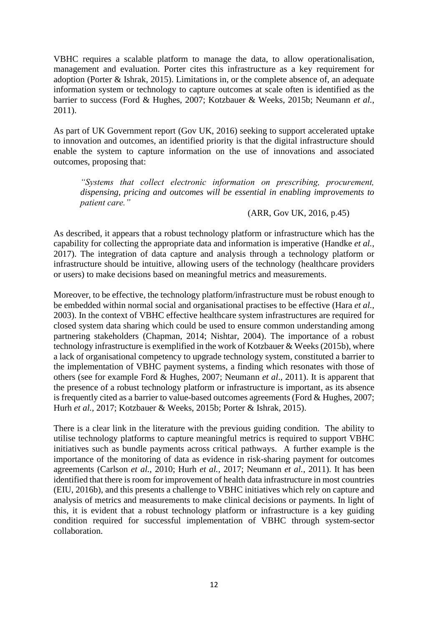VBHC requires a scalable platform to manage the data, to allow operationalisation, management and evaluation. Porter cites this infrastructure as a key requirement for adoption (Porter & Ishrak, 2015). Limitations in, or the complete absence of, an adequate information system or technology to capture outcomes at scale often is identified as the barrier to success (Ford & Hughes, 2007; Kotzbauer & Weeks, 2015b; Neumann *et al.*, 2011).

As part of UK Government report (Gov UK, 2016) seeking to support accelerated uptake to innovation and outcomes, an identified priority is that the digital infrastructure should enable the system to capture information on the use of innovations and associated outcomes, proposing that:

*"Systems that collect electronic information on prescribing, procurement, dispensing, pricing and outcomes will be essential in enabling improvements to patient care."*

(ARR, Gov UK, 2016, p.45)

As described, it appears that a robust technology platform or infrastructure which has the capability for collecting the appropriate data and information is imperative (Handke *et al.*, 2017). The integration of data capture and analysis through a technology platform or infrastructure should be intuitive, allowing users of the technology (healthcare providers or users) to make decisions based on meaningful metrics and measurements.

Moreover, to be effective, the technology platform/infrastructure must be robust enough to be embedded within normal social and organisational practises to be effective (Hara *et al.*, 2003). In the context of VBHC effective healthcare system infrastructures are required for closed system data sharing which could be used to ensure common understanding among partnering stakeholders (Chapman, 2014; Nishtar, 2004). The importance of a robust technology infrastructure is exemplified in the work of Kotzbauer & Weeks (2015b), where a lack of organisational competency to upgrade technology system, constituted a barrier to the implementation of VBHC payment systems, a finding which resonates with those of others (see for example Ford & Hughes, 2007; Neumann *et al*., 2011). It is apparent that the presence of a robust technology platform or infrastructure is important, as its absence is frequently cited as a barrier to value-based outcomes agreements (Ford & Hughes, 2007; Hurh *et al.*, 2017; Kotzbauer & Weeks, 2015b; Porter & Ishrak, 2015).

There is a clear link in the literature with the previous guiding condition. The ability to utilise technology platforms to capture meaningful metrics is required to support VBHC initiatives such as bundle payments across critical pathways. A further example is the importance of the monitoring of data as evidence in risk-sharing payment for outcomes agreements (Carlson *et al.*, 2010; Hurh *et al.,* 2017; Neumann *et al.*, 2011). It has been identified that there is room for improvement of health data infrastructure in most countries (EIU, 2016b), and this presents a challenge to VBHC initiatives which rely on capture and analysis of metrics and measurements to make clinical decisions or payments. In light of this, it is evident that a robust technology platform or infrastructure is a key guiding condition required for successful implementation of VBHC through system-sector collaboration.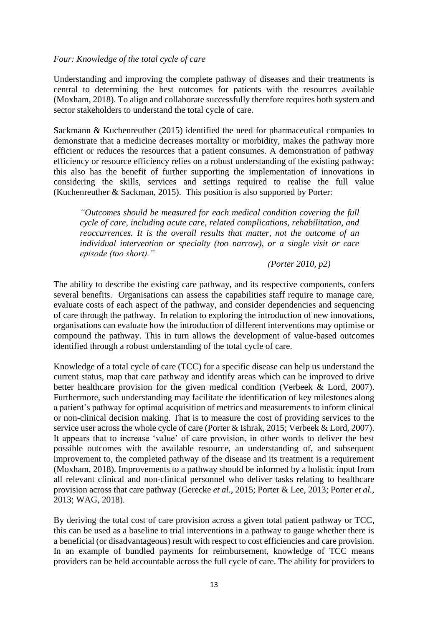## *Four: Knowledge of the total cycle of care*

Understanding and improving the complete pathway of diseases and their treatments is central to determining the best outcomes for patients with the resources available (Moxham, 2018). To align and collaborate successfully therefore requires both system and sector stakeholders to understand the total cycle of care.

Sackmann & Kuchenreuther (2015) identified the need for pharmaceutical companies to demonstrate that a medicine decreases mortality or morbidity, makes the pathway more efficient or reduces the resources that a patient consumes. A demonstration of pathway efficiency or resource efficiency relies on a robust understanding of the existing pathway; this also has the benefit of further supporting the implementation of innovations in considering the skills, services and settings required to realise the full value (Kuchenreuther & Sackman, 2015). This position is also supported by Porter:

*"Outcomes should be measured for each medical condition covering the full cycle of care, including acute care, related complications, rehabilitation, and reoccurrences. It is the overall results that matter, not the outcome of an individual intervention or specialty (too narrow), or a single visit or care episode (too short)."*

#### *(Porter 2010, p2)*

The ability to describe the existing care pathway, and its respective components, confers several benefits. Organisations can assess the capabilities staff require to manage care, evaluate costs of each aspect of the pathway, and consider dependencies and sequencing of care through the pathway. In relation to exploring the introduction of new innovations, organisations can evaluate how the introduction of different interventions may optimise or compound the pathway. This in turn allows the development of value-based outcomes identified through a robust understanding of the total cycle of care.

Knowledge of a total cycle of care (TCC) for a specific disease can help us understand the current status, map that care pathway and identify areas which can be improved to drive better healthcare provision for the given medical condition (Verbeek & Lord, 2007). Furthermore, such understanding may facilitate the identification of key milestones along a patient's pathway for optimal acquisition of metrics and measurements to inform clinical or non-clinical decision making. That is to measure the cost of providing services to the service user across the whole cycle of care (Porter & Ishrak, 2015; Verbeek & Lord, 2007). It appears that to increase 'value' of care provision, in other words to deliver the best possible outcomes with the available resource, an understanding of, and subsequent improvement to, the completed pathway of the disease and its treatment is a requirement (Moxham, 2018). Improvements to a pathway should be informed by a holistic input from all relevant clinical and non-clinical personnel who deliver tasks relating to healthcare provision across that care pathway (Gerecke *et al.*, 2015; Porter & Lee, 2013; Porter *et al.*, 2013; WAG, 2018).

By deriving the total cost of care provision across a given total patient pathway or TCC, this can be used as a baseline to trial interventions in a pathway to gauge whether there is a beneficial (or disadvantageous) result with respect to cost efficiencies and care provision. In an example of bundled payments for reimbursement, knowledge of TCC means providers can be held accountable across the full cycle of care. The ability for providers to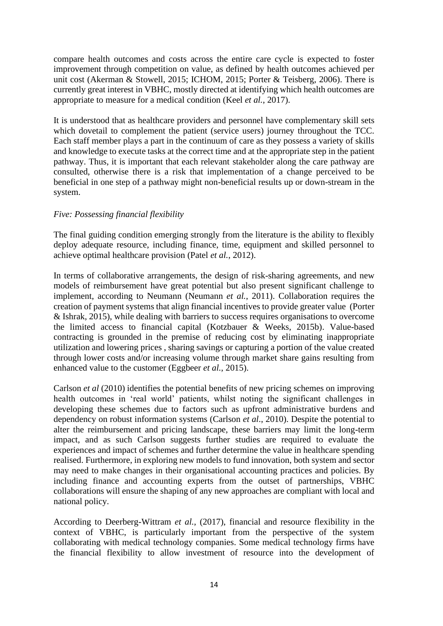compare health outcomes and costs across the entire care cycle is expected to foster improvement through competition on value, as defined by health outcomes achieved per unit cost (Akerman & Stowell, 2015; ICHOM, 2015; Porter & Teisberg, 2006). There is currently great interest in VBHC, mostly directed at identifying which health outcomes are appropriate to measure for a medical condition (Keel *et al.*, 2017).

It is understood that as healthcare providers and personnel have complementary skill sets which dovetail to complement the patient (service users) journey throughout the TCC. Each staff member plays a part in the continuum of care as they possess a variety of skills and knowledge to execute tasks at the correct time and at the appropriate step in the patient pathway. Thus, it is important that each relevant stakeholder along the care pathway are consulted, otherwise there is a risk that implementation of a change perceived to be beneficial in one step of a pathway might non-beneficial results up or down-stream in the system.

## *Five: Possessing financial flexibility*

The final guiding condition emerging strongly from the literature is the ability to flexibly deploy adequate resource, including finance, time, equipment and skilled personnel to achieve optimal healthcare provision (Patel *et al.*, 2012).

In terms of collaborative arrangements, the design of risk-sharing agreements, and new models of reimbursement have great potential but also present significant challenge to implement, according to Neumann (Neumann *et al.*, 2011). Collaboration requires the creation of payment systems that align financial incentives to provide greater value (Porter & Ishrak, 2015), while dealing with barriers to success requires organisations to overcome the limited access to financial capital (Kotzbauer & Weeks, 2015b). Value-based contracting is grounded in the premise of reducing cost by eliminating inappropriate utilization and lowering prices , sharing savings or capturing a portion of the value created through lower costs and/or increasing volume through market share gains resulting from enhanced value to the customer (Eggbeer *et al.*, 2015).

Carlson *et al* (2010) identifies the potential benefits of new pricing schemes on improving health outcomes in 'real world' patients, whilst noting the significant challenges in developing these schemes due to factors such as upfront administrative burdens and dependency on robust information systems (Carlson *et al*., 2010). Despite the potential to alter the reimbursement and pricing landscape, these barriers may limit the long-term impact, and as such Carlson suggests further studies are required to evaluate the experiences and impact of schemes and further determine the value in healthcare spending realised. Furthermore, in exploring new models to fund innovation, both system and sector may need to make changes in their organisational accounting practices and policies. By including finance and accounting experts from the outset of partnerships, VBHC collaborations will ensure the shaping of any new approaches are compliant with local and national policy.

According to Deerberg-Wittram *et al.*, (2017), financial and resource flexibility in the context of VBHC, is particularly important from the perspective of the system collaborating with medical technology companies. Some medical technology firms have the financial flexibility to allow investment of resource into the development of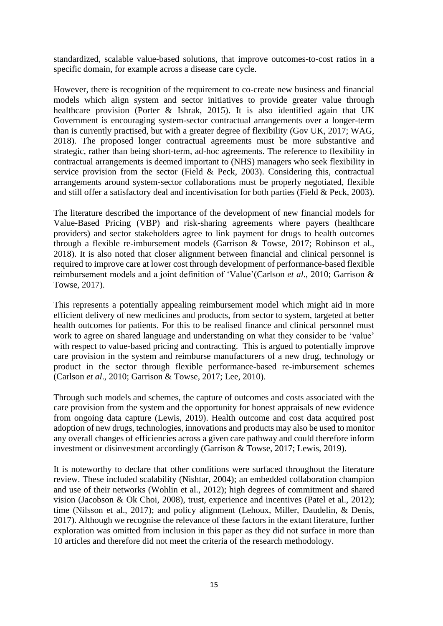standardized, scalable value-based solutions, that improve outcomes-to-cost ratios in a specific domain, for example across a disease care cycle.

However, there is recognition of the requirement to co-create new business and financial models which align system and sector initiatives to provide greater value through healthcare provision (Porter & Ishrak, 2015). It is also identified again that UK Government is encouraging system-sector contractual arrangements over a longer-term than is currently practised, but with a greater degree of flexibility (Gov UK, 2017; WAG, 2018). The proposed longer contractual agreements must be more substantive and strategic, rather than being short-term, ad-hoc agreements. The reference to flexibility in contractual arrangements is deemed important to (NHS) managers who seek flexibility in service provision from the sector (Field & Peck, 2003). Considering this, contractual arrangements around system-sector collaborations must be properly negotiated, flexible and still offer a satisfactory deal and incentivisation for both parties (Field & Peck, 2003).

The literature described the importance of the development of new financial models for Value-Based Pricing (VBP) and risk-sharing agreements where payers (healthcare providers) and sector stakeholders agree to link payment for drugs to health outcomes through a flexible re-imbursement models (Garrison & Towse, 2017; Robinson et al., 2018). It is also noted that closer alignment between financial and clinical personnel is required to improve care at lower cost through development of performance-based flexible reimbursement models and a joint definition of 'Value'(Carlson *et al*., 2010; Garrison & Towse, 2017).

This represents a potentially appealing reimbursement model which might aid in more efficient delivery of new medicines and products, from sector to system, targeted at better health outcomes for patients. For this to be realised finance and clinical personnel must work to agree on shared language and understanding on what they consider to be 'value' with respect to value-based pricing and contracting. This is argued to potentially improve care provision in the system and reimburse manufacturers of a new drug, technology or product in the sector through flexible performance-based re-imbursement schemes (Carlson *et al*., 2010; Garrison & Towse, 2017; Lee, 2010).

Through such models and schemes, the capture of outcomes and costs associated with the care provision from the system and the opportunity for honest appraisals of new evidence from ongoing data capture (Lewis, 2019). Health outcome and cost data acquired post adoption of new drugs, technologies, innovations and products may also be used to monitor any overall changes of efficiencies across a given care pathway and could therefore inform investment or disinvestment accordingly (Garrison & Towse, 2017; Lewis, 2019).

It is noteworthy to declare that other conditions were surfaced throughout the literature review. These included scalability (Nishtar, 2004); an embedded collaboration champion and use of their networks (Wohlin et al., 2012); high degrees of commitment and shared vision (Jacobson & Ok Choi, 2008), trust, experience and incentives (Patel et al., 2012); time (Nilsson et al., 2017); and policy alignment (Lehoux, Miller, Daudelin, & Denis, 2017). Although we recognise the relevance of these factors in the extant literature, further exploration was omitted from inclusion in this paper as they did not surface in more than 10 articles and therefore did not meet the criteria of the research methodology.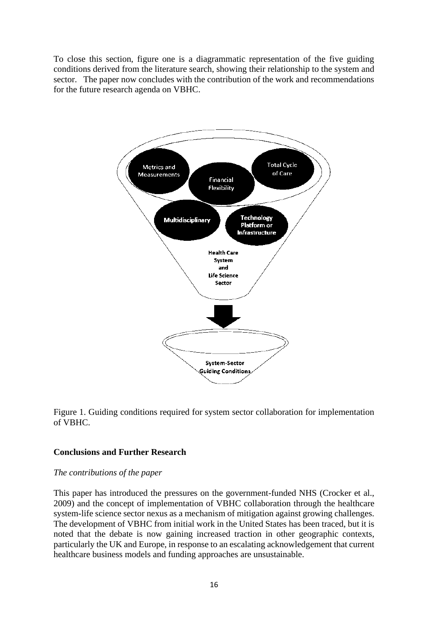To close this section, figure one is a diagrammatic representation of the five guiding conditions derived from the literature search, showing their relationship to the system and sector. The paper now concludes with the contribution of the work and recommendations for the future research agenda on VBHC.



Figure 1. Guiding conditions required for system sector collaboration for implementation of VBHC.

## **Conclusions and Further Research**

#### *The contributions of the paper*

This paper has introduced the pressures on the government-funded NHS (Crocker et al., 2009) and the concept of implementation of VBHC collaboration through the healthcare system-life science sector nexus as a mechanism of mitigation against growing challenges. The development of VBHC from initial work in the United States has been traced, but it is noted that the debate is now gaining increased traction in other geographic contexts, particularly the UK and Europe, in response to an escalating acknowledgement that current healthcare business models and funding approaches are unsustainable.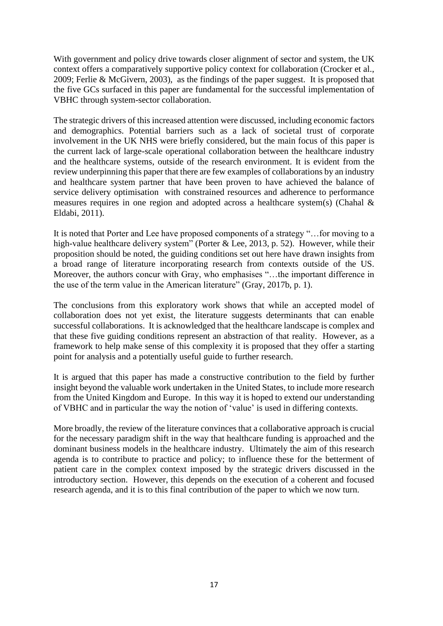With government and policy drive towards closer alignment of sector and system, the UK context offers a comparatively supportive policy context for collaboration (Crocker et al., 2009; Ferlie & McGivern, 2003), as the findings of the paper suggest. It is proposed that the five GCs surfaced in this paper are fundamental for the successful implementation of VBHC through system-sector collaboration.

The strategic drivers of this increased attention were discussed, including economic factors and demographics. Potential barriers such as a lack of societal trust of corporate involvement in the UK NHS were briefly considered, but the main focus of this paper is the current lack of large-scale operational collaboration between the healthcare industry and the healthcare systems, outside of the research environment. It is evident from the review underpinning this paper that there are few examples of collaborations by an industry and healthcare system partner that have been proven to have achieved the balance of service delivery optimisation with constrained resources and adherence to performance measures requires in one region and adopted across a healthcare system(s) (Chahal & Eldabi, 2011).

It is noted that Porter and Lee have proposed components of a strategy "…for moving to a high-value healthcare delivery system" (Porter & Lee, 2013, p. 52). However, while their proposition should be noted, the guiding conditions set out here have drawn insights from a broad range of literature incorporating research from contexts outside of the US. Moreover, the authors concur with Gray, who emphasises "…the important difference in the use of the term value in the American literature" (Gray, 2017b, p. 1).

The conclusions from this exploratory work shows that while an accepted model of collaboration does not yet exist, the literature suggests determinants that can enable successful collaborations. It is acknowledged that the healthcare landscape is complex and that these five guiding conditions represent an abstraction of that reality. However, as a framework to help make sense of this complexity it is proposed that they offer a starting point for analysis and a potentially useful guide to further research.

It is argued that this paper has made a constructive contribution to the field by further insight beyond the valuable work undertaken in the United States, to include more research from the United Kingdom and Europe. In this way it is hoped to extend our understanding of VBHC and in particular the way the notion of 'value' is used in differing contexts.

More broadly, the review of the literature convinces that a collaborative approach is crucial for the necessary paradigm shift in the way that healthcare funding is approached and the dominant business models in the healthcare industry. Ultimately the aim of this research agenda is to contribute to practice and policy; to influence these for the betterment of patient care in the complex context imposed by the strategic drivers discussed in the introductory section. However, this depends on the execution of a coherent and focused research agenda, and it is to this final contribution of the paper to which we now turn.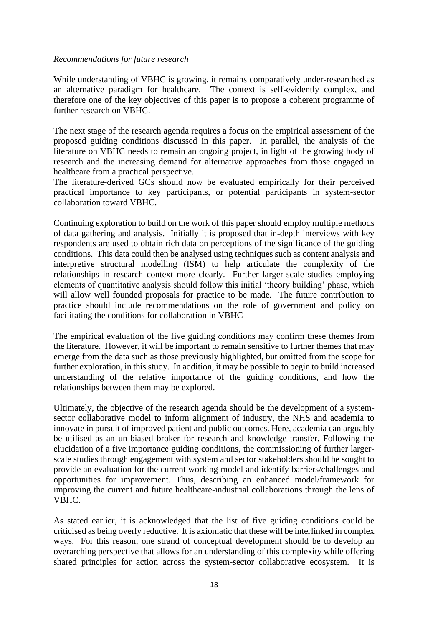## *Recommendations for future research*

While understanding of VBHC is growing, it remains comparatively under-researched as an alternative paradigm for healthcare. The context is self-evidently complex, and therefore one of the key objectives of this paper is to propose a coherent programme of further research on VBHC.

The next stage of the research agenda requires a focus on the empirical assessment of the proposed guiding conditions discussed in this paper. In parallel, the analysis of the literature on VBHC needs to remain an ongoing project, in light of the growing body of research and the increasing demand for alternative approaches from those engaged in healthcare from a practical perspective.

The literature-derived GCs should now be evaluated empirically for their perceived practical importance to key participants, or potential participants in system-sector collaboration toward VBHC.

Continuing exploration to build on the work of this paper should employ multiple methods of data gathering and analysis. Initially it is proposed that in-depth interviews with key respondents are used to obtain rich data on perceptions of the significance of the guiding conditions. This data could then be analysed using techniques such as content analysis and interpretive structural modelling (ISM) to help articulate the complexity of the relationships in research context more clearly. Further larger-scale studies employing elements of quantitative analysis should follow this initial 'theory building' phase, which will allow well founded proposals for practice to be made. The future contribution to practice should include recommendations on the role of government and policy on facilitating the conditions for collaboration in VBHC

The empirical evaluation of the five guiding conditions may confirm these themes from the literature. However, it will be important to remain sensitive to further themes that may emerge from the data such as those previously highlighted, but omitted from the scope for further exploration, in this study. In addition, it may be possible to begin to build increased understanding of the relative importance of the guiding conditions, and how the relationships between them may be explored.

Ultimately, the objective of the research agenda should be the development of a systemsector collaborative model to inform alignment of industry, the NHS and academia to innovate in pursuit of improved patient and public outcomes. Here, academia can arguably be utilised as an un-biased broker for research and knowledge transfer. Following the elucidation of a five importance guiding conditions, the commissioning of further largerscale studies through engagement with system and sector stakeholders should be sought to provide an evaluation for the current working model and identify barriers/challenges and opportunities for improvement. Thus, describing an enhanced model/framework for improving the current and future healthcare-industrial collaborations through the lens of VBHC.

As stated earlier, it is acknowledged that the list of five guiding conditions could be criticised as being overly reductive. It is axiomatic that these will be interlinked in complex ways. For this reason, one strand of conceptual development should be to develop an overarching perspective that allows for an understanding of this complexity while offering shared principles for action across the system-sector collaborative ecosystem. It is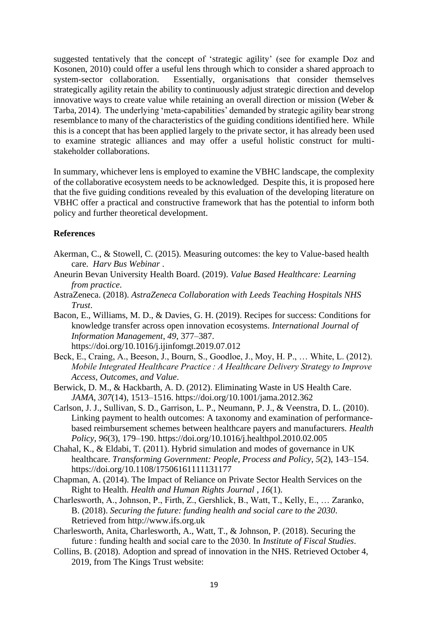suggested tentatively that the concept of 'strategic agility' (see for example Doz and Kosonen, 2010) could offer a useful lens through which to consider a shared approach to system-sector collaboration. Essentially, organisations that consider themselves strategically agility retain the ability to continuously adjust strategic direction and develop innovative ways to create value while retaining an overall direction or mission (Weber & Tarba, 2014). The underlying 'meta-capabilities' demanded by strategic agility bear strong resemblance to many of the characteristics of the guiding conditions identified here. While this is a concept that has been applied largely to the private sector, it has already been used to examine strategic alliances and may offer a useful holistic construct for multistakeholder collaborations.

In summary, whichever lens is employed to examine the VBHC landscape, the complexity of the collaborative ecosystem needs to be acknowledged. Despite this, it is proposed here that the five guiding conditions revealed by this evaluation of the developing literature on VBHC offer a practical and constructive framework that has the potential to inform both policy and further theoretical development.

## **References**

- Akerman, C., & Stowell, C. (2015). Measuring outcomes: the key to Value-based health care. *Harv Bus Webinar* .
- Aneurin Bevan University Health Board. (2019). *Value Based Healthcare: Learning from practice*.
- AstraZeneca. (2018). *AstraZeneca Collaboration with Leeds Teaching Hospitals NHS Trust*.
- Bacon, E., Williams, M. D., & Davies, G. H. (2019). Recipes for success: Conditions for knowledge transfer across open innovation ecosystems. *International Journal of Information Management*, *49*, 377–387. https://doi.org/10.1016/j.ijinfomgt.2019.07.012
- Beck, E., Craing, A., Beeson, J., Bourn, S., Goodloe, J., Moy, H. P., … White, L. (2012). *Mobile Integrated Healthcare Practice : A Healthcare Delivery Strategy to Improve Access, Outcomes, and Value*.
- Berwick, D. M., & Hackbarth, A. D. (2012). Eliminating Waste in US Health Care. *JAMA*, *307*(14), 1513–1516. https://doi.org/10.1001/jama.2012.362
- Carlson, J. J., Sullivan, S. D., Garrison, L. P., Neumann, P. J., & Veenstra, D. L. (2010). Linking payment to health outcomes: A taxonomy and examination of performancebased reimbursement schemes between healthcare payers and manufacturers. *Health Policy*, *96*(3), 179–190. https://doi.org/10.1016/j.healthpol.2010.02.005
- Chahal, K., & Eldabi, T. (2011). Hybrid simulation and modes of governance in UK healthcare. *Transforming Government: People, Process and Policy*, *5*(2), 143–154. https://doi.org/10.1108/17506161111131177
- Chapman, A. (2014). The Impact of Reliance on Private Sector Health Services on the Right to Health. *Health and Human Rights Journal* , *16*(1).
- Charlesworth, A., Johnson, P., Firth, Z., Gershlick, B., Watt, T., Kelly, E., … Zaranko, B. (2018). *Securing the future: funding health and social care to the 2030*. Retrieved from http://www.ifs.org.uk
- Charlesworth, Anita, Charlesworth, A., Watt, T., & Johnson, P. (2018). Securing the future : funding health and social care to the 2030. In *Institute of Fiscal Studies*.
- Collins, B. (2018). Adoption and spread of innovation in the NHS. Retrieved October 4, 2019, from The Kings Trust website: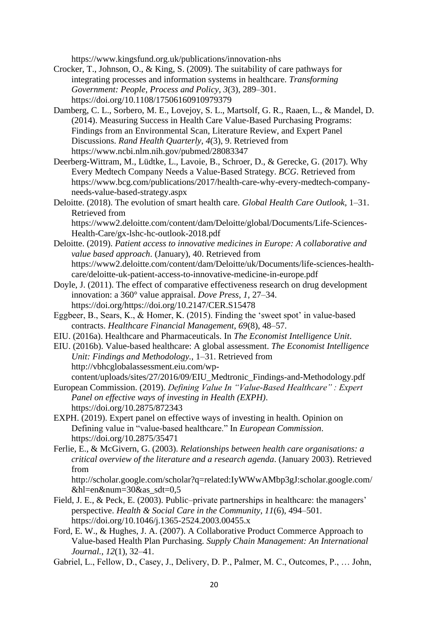https://www.kingsfund.org.uk/publications/innovation-nhs

- Crocker, T., Johnson, O., & King, S. (2009). The suitability of care pathways for integrating processes and information systems in healthcare. *Transforming Government: People, Process and Policy*, *3*(3), 289–301. https://doi.org/10.1108/17506160910979379
- Damberg, C. L., Sorbero, M. E., Lovejoy, S. L., Martsolf, G. R., Raaen, L., & Mandel, D. (2014). Measuring Success in Health Care Value-Based Purchasing Programs: Findings from an Environmental Scan, Literature Review, and Expert Panel Discussions. *Rand Health Quarterly*, *4*(3), 9. Retrieved from https://www.ncbi.nlm.nih.gov/pubmed/28083347
- Deerberg-Wittram, M., Lüdtke, L., Lavoie, B., Schroer, D., & Gerecke, G. (2017). Why Every Medtech Company Needs a Value-Based Strategy. *BCG*. Retrieved from https://www.bcg.com/publications/2017/health-care-why-every-medtech-companyneeds-value-based-strategy.aspx
- Deloitte. (2018). The evolution of smart health care. *Global Health Care Outlook*, 1–31. Retrieved from https://www2.deloitte.com/content/dam/Deloitte/global/Documents/Life-Sciences-

Health-Care/gx-lshc-hc-outlook-2018.pdf

- Deloitte. (2019). *Patient access to innovative medicines in Europe: A collaborative and value based approach*. (January), 40. Retrieved from https://www2.deloitte.com/content/dam/Deloitte/uk/Documents/life-sciences-healthcare/deloitte-uk-patient-access-to-innovative-medicine-in-europe.pdf
- Doyle, J. (2011). The effect of comparative effectiveness research on drug development innovation: a 360° value appraisal. *Dove Press*, *1*, 27–34. https://doi.org/https://doi.org/10.2147/CER.S15478
- Eggbeer, B., Sears, K., & Homer, K. (2015). Finding the 'sweet spot' in value-based contracts. *Healthcare Financial Management*, *69*(8), 48–57.
- EIU. (2016a). Healthcare and Pharmaceuticals. In *The Economist Intelligence Unit*.
- EIU. (2016b). Value-based healthcare: A global assessment. *The Economist Intelligence Unit: Findings and Methodology.*, 1–31. Retrieved from http://vbhcglobalassessment.eiu.com/wpcontent/uploads/sites/27/2016/09/EIU\_Medtronic\_Findings-and-Methodology.pdf
- European Commission. (2019). *Defining Value In "Value-Based Healthcare" : Expert Panel on effective ways of investing in Health (EXPH)*. https://doi.org/10.2875/872343
- EXPH. (2019). Expert panel on effective ways of investing in health. Opinion on Defining value in "value-based healthcare." In *European Commission*. https://doi.org/10.2875/35471
- Ferlie, E., & McGivern, G. (2003). *Relationships between health care organisations: a critical overview of the literature and a research agenda*. (January 2003). Retrieved from

http://scholar.google.com/scholar?q=related:IyWWwAMbp3gJ:scholar.google.com/  $&$ hl=en $&$ num=30 $&$ as sdt=0,5

- Field, J. E., & Peck, E. (2003). Public–private partnerships in healthcare: the managers' perspective. *Health & Social Care in the Community*, *11*(6), 494–501. https://doi.org/10.1046/j.1365-2524.2003.00455.x
- Ford, E. W., & Hughes, J. A. (2007). A Collaborative Product Commerce Approach to Value-based Health Plan Purchasing. *Supply Chain Management: An International Journal.*, *12*(1), 32–41.
- Gabriel, L., Fellow, D., Casey, J., Delivery, D. P., Palmer, M. C., Outcomes, P., … John,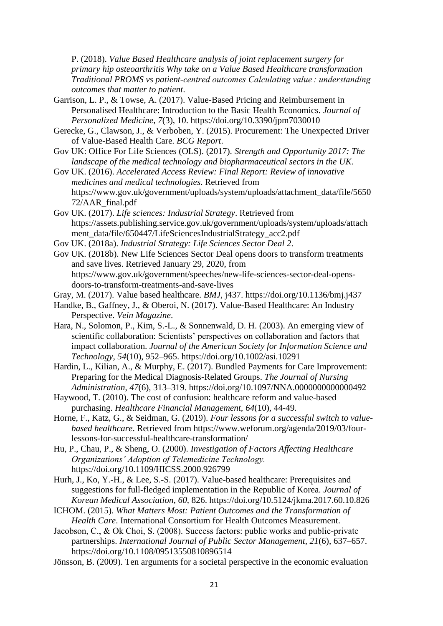P. (2018). *Value Based Healthcare analysis of joint replacement surgery for primary hip osteoarthritis Why take on a Value Based Healthcare transformation Traditional PROMS vs patient-centred outcomes Calculating value : understanding outcomes that matter to patient*.

- Garrison, L. P., & Towse, A. (2017). Value-Based Pricing and Reimbursement in Personalised Healthcare: Introduction to the Basic Health Economics. *Journal of Personalized Medicine*, *7*(3), 10. https://doi.org/10.3390/jpm7030010
- Gerecke, G., Clawson, J., & Verboben, Y. (2015). Procurement: The Unexpected Driver of Value-Based Health Care. *BCG Report*.
- Gov UK: Office For Life Sciences (OLS). (2017). *Strength and Opportunity 2017: The landscape of the medical technology and biopharmaceutical sectors in the UK*.
- Gov UK. (2016). *Accelerated Access Review: Final Report: Review of innovative medicines and medical technologies*. Retrieved from https://www.gov.uk/government/uploads/system/uploads/attachment\_data/file/5650 72/AAR\_final.pdf
- Gov UK. (2017). *Life sciences: Industrial Strategy*. Retrieved from https://assets.publishing.service.gov.uk/government/uploads/system/uploads/attach ment\_data/file/650447/LifeSciencesIndustrialStrategy\_acc2.pdf
- Gov UK. (2018a). *Industrial Strategy: Life Sciences Sector Deal 2*.

Gov UK. (2018b). New Life Sciences Sector Deal opens doors to transform treatments and save lives. Retrieved January 29, 2020, from https://www.gov.uk/government/speeches/new-life-sciences-sector-deal-opensdoors-to-transform-treatments-and-save-lives

- Gray, M. (2017). Value based healthcare. *BMJ*, j437. https://doi.org/10.1136/bmj.j437
- Handke, B., Gaffney, J., & Oberoi, N. (2017). Value-Based Healthcare: An Industry Perspective. *Vein Magazine*.
- Hara, N., Solomon, P., Kim, S.-L., & Sonnenwald, D. H. (2003). An emerging view of scientific collaboration: Scientists' perspectives on collaboration and factors that impact collaboration. *Journal of the American Society for Information Science and Technology*, *54*(10), 952–965. https://doi.org/10.1002/asi.10291
- Hardin, L., Kilian, A., & Murphy, E. (2017). Bundled Payments for Care Improvement: Preparing for the Medical Diagnosis-Related Groups. *The Journal of Nursing Administration*, *47*(6), 313–319. https://doi.org/10.1097/NNA.0000000000000492
- Haywood, T. (2010). The cost of confusion: healthcare reform and value-based purchasing. *Healthcare Financial Management, 64*(10), 44-49.
- Horne, F., Katz, G., & Seidman, G. (2019). *Four lessons for a successful switch to valuebased healthcare*. Retrieved from https://www.weforum.org/agenda/2019/03/fourlessons-for-successful-healthcare-transformation/
- Hu, P., Chau, P., & Sheng, O. (2000). *Investigation of Factors Affecting Healthcare Organizations' Adoption of Telemedicine Technology.* https://doi.org/10.1109/HICSS.2000.926799

Hurh, J., Ko, Y.-H., & Lee, S.-S. (2017). Value-based healthcare: Prerequisites and suggestions for full-fledged implementation in the Republic of Korea. *Journal of Korean Medical Association*, *60*, 826. https://doi.org/10.5124/jkma.2017.60.10.826

- ICHOM. (2015). *What Matters Most: Patient Outcomes and the Transformation of Health Care*. International Consortium for Health Outcomes Measurement.
- Jacobson, C., & Ok Choi, S. (2008). Success factors: public works and public‐private partnerships. *International Journal of Public Sector Management*, *21*(6), 637–657. https://doi.org/10.1108/09513550810896514
- Jönsson, B. (2009). Ten arguments for a societal perspective in the economic evaluation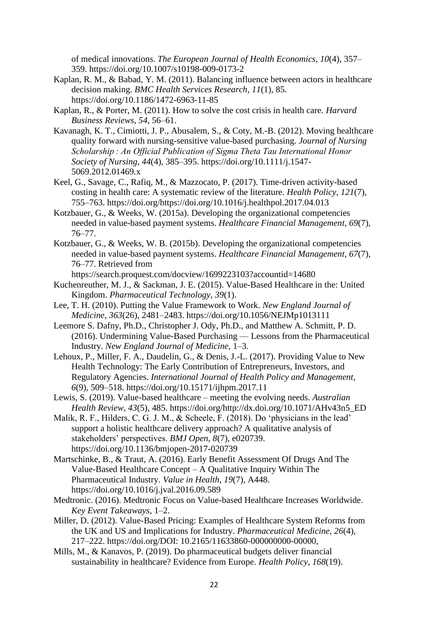of medical innovations. *The European Journal of Health Economics*, *10*(4), 357– 359. https://doi.org/10.1007/s10198-009-0173-2

- Kaplan, R. M., & Babad, Y. M. (2011). Balancing influence between actors in healthcare decision making. *BMC Health Services Research*, *11*(1), 85. https://doi.org/10.1186/1472-6963-11-85
- Kaplan, R., & Porter, M. (2011). How to solve the cost crisis in health care. *Harvard Business Reviews*, *54*, 56–61.
- Kavanagh, K. T., Cimiotti, J. P., Abusalem, S., & Coty, M.-B. (2012). Moving healthcare quality forward with nursing-sensitive value-based purchasing. *Journal of Nursing Scholarship : An Official Publication of Sigma Theta Tau International Honor Society of Nursing*, *44*(4), 385–395. https://doi.org/10.1111/j.1547- 5069.2012.01469.x
- Keel, G., Savage, C., Rafiq, M., & Mazzocato, P. (2017). Time-driven activity-based costing in health care: A systematic review of the literature. *Health Policy*, *121*(7), 755–763. https://doi.org/https://doi.org/10.1016/j.healthpol.2017.04.013
- Kotzbauer, G., & Weeks, W. (2015a). Developing the organizational competencies needed in value-based payment systems. *Healthcare Financial Management*, *69*(7), 76–77.
- Kotzbauer, G., & Weeks, W. B. (2015b). Developing the organizational competencies needed in value-based payment systems. *Healthcare Financial Management*, *67*(7), 76–77. Retrieved from
- https://search.proquest.com/docview/1699223103?accountid=14680 Kuchenreuther, M. J., & Sackman, J. E. (2015). Value-Based Healthcare in the: United Kingdom. *Pharmaceutical Technology*, *39*(1).
- Lee, T. H. (2010). Putting the Value Framework to Work. *New England Journal of Medicine*, *363*(26), 2481–2483. https://doi.org/10.1056/NEJMp1013111
- Leemore S. Dafny, Ph.D., Christopher J. Ody, Ph.D., and Matthew A. Schmitt, P. D. (2016). Undermining Value-Based Purchasing — Lessons from the Pharmaceutical Industry. *New England Journal of Medicine*, 1–3.
- Lehoux, P., Miller, F. A., Daudelin, G., & Denis, J.-L. (2017). Providing Value to New Health Technology: The Early Contribution of Entrepreneurs, Investors, and Regulatory Agencies. *International Journal of Health Policy and Management*, *6*(9), 509–518. https://doi.org/10.15171/ijhpm.2017.11
- Lewis, S. (2019). Value-based healthcare meeting the evolving needs. *Australian Health Review*, *43*(5), 485. https://doi.org/http://dx.doi.org/10.1071/AHv43n5\_ED
- Malik, R. F., Hilders, C. G. J. M., & Scheele, F. (2018). Do 'physicians in the lead' support a holistic healthcare delivery approach? A qualitative analysis of stakeholders' perspectives. *BMJ Open*, *8*(7), e020739. https://doi.org/10.1136/bmjopen-2017-020739
- Martschinke, B., & Traut, A. (2016). Early Benefit Assessment Of Drugs And The Value-Based Healthcare Concept – A Qualitative Inquiry Within The Pharmaceutical Industry. *Value in Health*, *19*(7), A448. https://doi.org/10.1016/j.jval.2016.09.589
- Medtronic. (2016). Medtronic Focus on Value-based Healthcare Increases Worldwide. *Key Event Takeaways*, 1–2.
- Miller, D. (2012). Value-Based Pricing: Examples of Healthcare System Reforms from the UK and US and Implications for Industry. *Pharmaceutical Medicine*, *26*(4), 217–222. https://doi.org/DOI: 10.2165/11633860-000000000-00000,
- Mills, M., & Kanavos, P. (2019). Do pharmaceutical budgets deliver financial sustainability in healthcare? Evidence from Europe. *Health Policy*, *168*(19).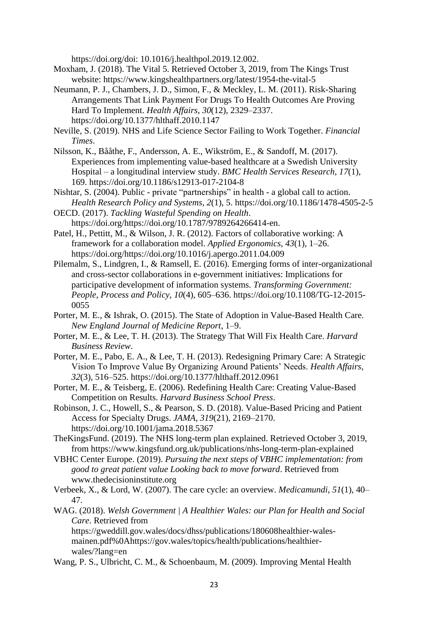https://doi.org/doi: 10.1016/j.healthpol.2019.12.002.

- Moxham, J. (2018). The Vital 5. Retrieved October 3, 2019, from The Kings Trust website: https://www.kingshealthpartners.org/latest/1954-the-vital-5
- Neumann, P. J., Chambers, J. D., Simon, F., & Meckley, L. M. (2011). Risk-Sharing Arrangements That Link Payment For Drugs To Health Outcomes Are Proving Hard To Implement. *Health Affairs*, *30*(12), 2329–2337. https://doi.org/10.1377/hlthaff.2010.1147
- Neville, S. (2019). NHS and Life Science Sector Failing to Work Together. *Financial Times*.
- Nilsson, K., Bååthe, F., Andersson, A. E., Wikström, E., & Sandoff, M. (2017). Experiences from implementing value-based healthcare at a Swedish University Hospital – a longitudinal interview study. *BMC Health Services Research*, *17*(1), 169. https://doi.org/10.1186/s12913-017-2104-8
- Nishtar, S. (2004). Public private "partnerships" in health a global call to action. *Health Research Policy and Systems*, *2*(1), 5. https://doi.org/10.1186/1478-4505-2-5
- OECD. (2017). *Tackling Wasteful Spending on Health*. https://doi.org/https://doi.org/10.1787/9789264266414-en.
- Patel, H., Pettitt, M., & Wilson, J. R. (2012). Factors of collaborative working: A framework for a collaboration model. *Applied Ergonomics*, *43*(1), 1–26. https://doi.org/https://doi.org/10.1016/j.apergo.2011.04.009
- Pilemalm, S., Lindgren, I., & Ramsell, E. (2016). Emerging forms of inter-organizational and cross-sector collaborations in e-government initiatives: Implications for participative development of information systems. *Transforming Government: People, Process and Policy*, *10*(4), 605–636. https://doi.org/10.1108/TG-12-2015- 0055
- Porter, M. E., & Ishrak, O. (2015). The State of Adoption in Value-Based Health Care. *New England Journal of Medicine Report*, 1–9.
- Porter, M. E., & Lee, T. H. (2013). The Strategy That Will Fix Health Care. *Harvard Business Review*.
- Porter, M. E., Pabo, E. A., & Lee, T. H. (2013). Redesigning Primary Care: A Strategic Vision To Improve Value By Organizing Around Patients' Needs. *Health Affairs*, *32*(3), 516–525. https://doi.org/10.1377/hlthaff.2012.0961
- Porter, M. E., & Teisberg, E. (2006). Redefining Health Care: Creating Value-Based Competition on Results. *Harvard Business School Press*.
- Robinson, J. C., Howell, S., & Pearson, S. D. (2018). Value-Based Pricing and Patient Access for Specialty Drugs. *JAMA*, *319*(21), 2169–2170. https://doi.org/10.1001/jama.2018.5367
- TheKingsFund. (2019). The NHS long-term plan explained. Retrieved October 3, 2019, from https://www.kingsfund.org.uk/publications/nhs-long-term-plan-explained
- VBHC Center Europe. (2019). *Pursuing the next steps of VBHC implementation: from good to great patient value Looking back to move forward*. Retrieved from www.thedecisioninstitute.org
- Verbeek, X., & Lord, W. (2007). The care cycle: an overview. *Medicamundi*, *51*(1), 40– 47.
- WAG. (2018). *Welsh Government | A Healthier Wales: our Plan for Health and Social Care*. Retrieved from

https://gweddill.gov.wales/docs/dhss/publications/180608healthier-walesmainen.pdf%0Ahttps://gov.wales/topics/health/publications/healthierwales/?lang=en

Wang, P. S., Ulbricht, C. M., & Schoenbaum, M. (2009). Improving Mental Health